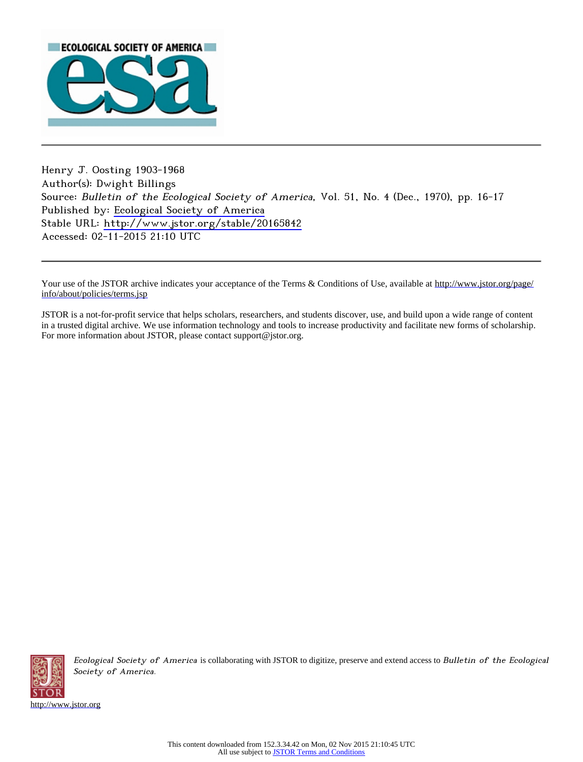

Henry J. Oosting 1903-1968 Author(s): Dwight Billings Source: Bulletin of the Ecological Society of America, Vol. 51, No. 4 (Dec., 1970), pp. 16-17 Published by: [Ecological Society of America](http://www.jstor.org/action/showPublisher?publisherCode=esa) Stable URL: <http://www.jstor.org/stable/20165842> Accessed: 02-11-2015 21:10 UTC

Your use of the JSTOR archive indicates your acceptance of the Terms & Conditions of Use, available at [http://www.jstor.org/page/](http://www.jstor.org/page/info/about/policies/terms.jsp) [info/about/policies/terms.jsp](http://www.jstor.org/page/info/about/policies/terms.jsp)

JSTOR is a not-for-profit service that helps scholars, researchers, and students discover, use, and build upon a wide range of content in a trusted digital archive. We use information technology and tools to increase productivity and facilitate new forms of scholarship. For more information about JSTOR, please contact support@jstor.org.



Ecological Society of America is collaborating with JSTOR to digitize, preserve and extend access to Bulletin of the Ecological Society of America.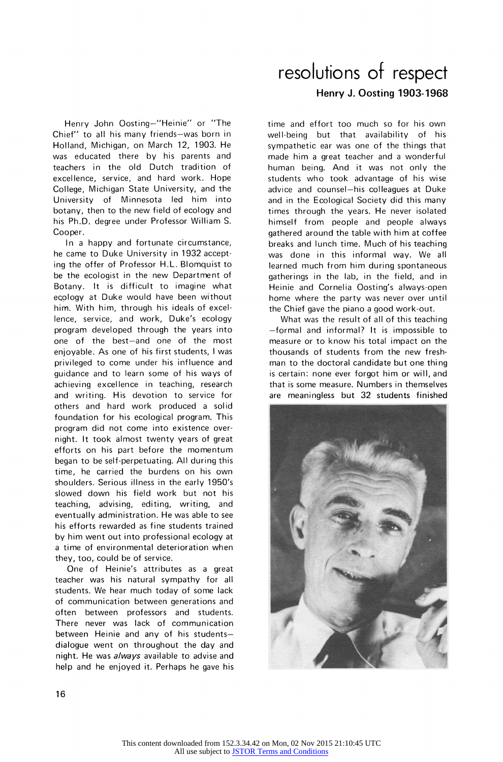**Henry John Oosting?"Heinie" or "The**  Chief" to all his many friends-was born in **Holland, Michigan, on March 12, 1903. He was educated there by his parents and teachers in the old Dutch tradition of excellence, service, and hard work.** Ho **College, Michigan State University, and the University of Minnesota led him into botany, then to the new field of ecology and his Ph.D. degree under Professor William S.** 

**Cooper. In a happy and fortunate circumstance, he came to Duke University in 1932 accept ing the offer of Professor H.L. Blomquist to be the ecologist in the new Department of Botany. It is difficult to imagine what ecology at Duke would have been without him. With him, through his ideals of excel lence, service, and work, Duke's ecology program developed through the years into**  one of the best-and one of the most **enjoyable. As one of his first students, I was privileged to come under his influence and guidance and to learn some of his ways of achieving excellence in teaching, research and writing. His devotion to service for others and hard work produced a solid foundation for his ecological program. This program did not come into existence over night. It took almost twenty years of great efforts on his part before the momentum began to be self-perpetuating. All during this time, he carried the burdens on his own shoulders. Serious illness in the early 1950's slowed down his field work but not his teaching, advising, editing, writing, and eventually administration. He was able to see his efforts rewarded as fine students trained by him went out into professional ecology at a time of environmental deterioration when they, too, could be of service.** 

**One of Heinie's attributes as a great teacher was his natural sympathy for all students. We hear much today of some lack of communication between generations and often between professors and students. There never was lack of communication**  between Heinie and any of his students**dialogue went on throughout the day and night. He was always available to advise and help and he enjoyed it. Perhaps he gave his** 

## **resolutions of respect Henry J. Oosting 1903-1968**

**time and effort too much so for his own well-being but that availability of his sympathetic ear was one of the things that made him a great teacher and a wonderful human being. And it was not only the students who took advantage of his wise**  advice and counsel-his colleagues at Duke **and in the Ecological Society did this many times through the years. He never isolated himself from people and people always gathered around the table with him at coffee breaks and lunch time. Much of his teaching was done in this informal way. We all learned much from him during spontaneous gatherings in the lab, in the field, and in Heinie and Cornelia Oosting's always-open home where the party was never over until the Chief gave the piano a good work-out.** 

**What was the result of all of this teaching ?formal and informal? It is impossible to measure or to know his total impact on the thousands of students from the new fresh man to the doctoral candidate but one thing is certain: none ever forgot him or will, and that is some measure. Numbers in themselves are meaningless but 32 students finished**